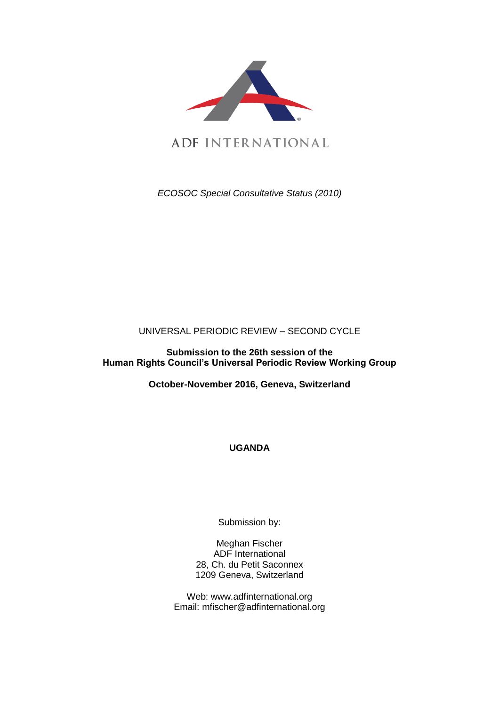

*ECOSOC Special Consultative Status (2010)*

# UNIVERSAL PERIODIC REVIEW – SECOND CYCLE

**Submission to the 26th session of the Human Rights Council's Universal Periodic Review Working Group** 

**October-November 2016, Geneva, Switzerland**

**UGANDA**

Submission by:

Meghan Fischer ADF International 28, Ch. du Petit Saconnex 1209 Geneva, Switzerland

Web: www.adfinternational.org Email: mfischer@adfinternational.org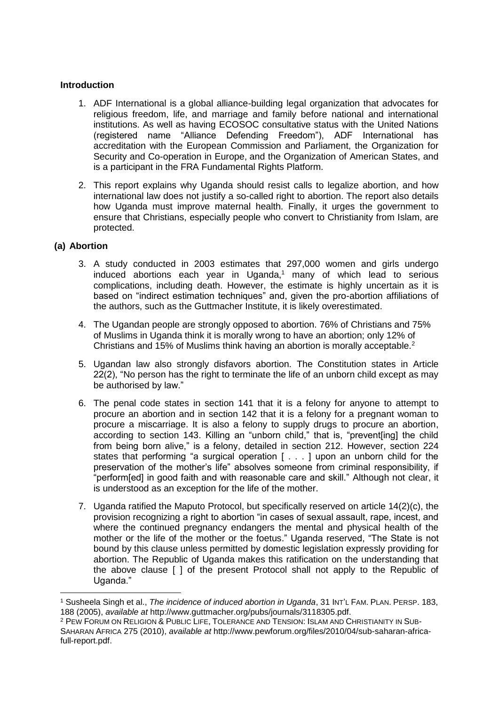### **Introduction**

- 1. ADF International is a global alliance-building legal organization that advocates for religious freedom, life, and marriage and family before national and international institutions. As well as having ECOSOC consultative status with the United Nations (registered name "Alliance Defending Freedom"), ADF International has accreditation with the European Commission and Parliament, the Organization for Security and Co-operation in Europe, and the Organization of American States, and is a participant in the FRA Fundamental Rights Platform.
- 2. This report explains why Uganda should resist calls to legalize abortion, and how international law does not justify a so-called right to abortion. The report also details how Uganda must improve maternal health. Finally, it urges the government to ensure that Christians, especially people who convert to Christianity from Islam, are protected.

#### **(a) Abortion**

<u>.</u>

- 3. A study conducted in 2003 estimates that 297,000 women and girls undergo induced abortions each year in Uganda, <sup>1</sup> many of which lead to serious complications, including death. However, the estimate is highly uncertain as it is based on "indirect estimation techniques" and, given the pro-abortion affiliations of the authors, such as the Guttmacher Institute, it is likely overestimated.
- 4. The Ugandan people are strongly opposed to abortion. 76% of Christians and 75% of Muslims in Uganda think it is morally wrong to have an abortion; only 12% of Christians and 15% of Muslims think having an abortion is morally acceptable.<sup>2</sup>
- 5. Ugandan law also strongly disfavors abortion. The Constitution states in Article 22(2), "No person has the right to terminate the life of an unborn child except as may be authorised by law."
- 6. The penal code states in section 141 that it is a felony for anyone to attempt to procure an abortion and in section 142 that it is a felony for a pregnant woman to procure a miscarriage. It is also a felony to supply drugs to procure an abortion, according to section 143. Killing an "unborn child," that is, "prevent[ing] the child from being born alive," is a felony, detailed in section 212. However, section 224 states that performing "a surgical operation [ . . . ] upon an unborn child for the preservation of the mother's life" absolves someone from criminal responsibility, if "perform[ed] in good faith and with reasonable care and skill." Although not clear, it is understood as an exception for the life of the mother.
- 7. Uganda ratified the Maputo Protocol, but specifically reserved on article 14(2)(c), the provision recognizing a right to abortion "in cases of sexual assault, rape, incest, and where the continued pregnancy endangers the mental and physical health of the mother or the life of the mother or the foetus." Uganda reserved, "The State is not bound by this clause unless permitted by domestic legislation expressly providing for abortion. The Republic of Uganda makes this ratification on the understanding that the above clause [ ] of the present Protocol shall not apply to the Republic of Uganda."

<sup>1</sup> Susheela Singh et al., *The incidence of induced abortion in Uganda*, 31 INT'L FAM. PLAN. PERSP. 183, 188 (2005), *available at* http://www.guttmacher.org/pubs/journals/3118305.pdf.

<sup>2</sup> PEW FORUM ON RELIGION & PUBLIC LIFE, TOLERANCE AND TENSION: ISLAM AND CHRISTIANITY IN SUB-SAHARAN AFRICA 275 (2010), *available at* http://www.pewforum.org/files/2010/04/sub-saharan-africafull-report.pdf.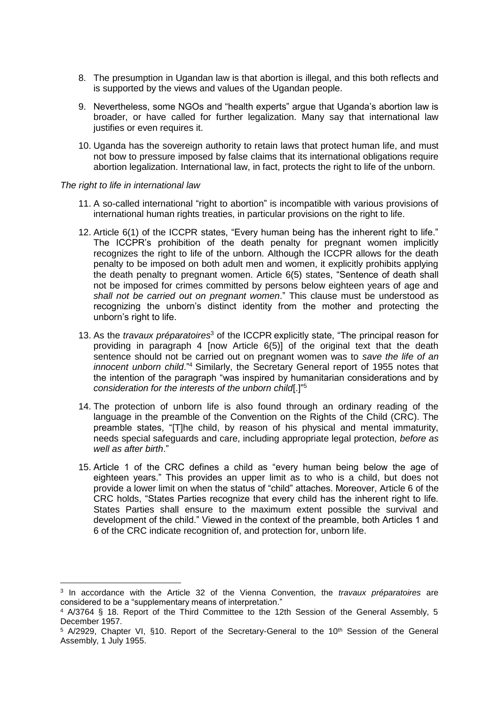- 8. The presumption in Ugandan law is that abortion is illegal, and this both reflects and is supported by the views and values of the Ugandan people.
- 9. Nevertheless, some NGOs and "health experts" argue that Uganda's abortion law is broader, or have called for further legalization. Many say that international law justifies or even requires it.
- 10. Uganda has the sovereign authority to retain laws that protect human life, and must not bow to pressure imposed by false claims that its international obligations require abortion legalization. International law, in fact, protects the right to life of the unborn.

#### *The right to life in international law*

1

- 11. A so-called international "right to abortion" is incompatible with various provisions of international human rights treaties, in particular provisions on the right to life.
- 12. Article 6(1) of the ICCPR states, "Every human being has the inherent right to life." The ICCPR's prohibition of the death penalty for pregnant women implicitly recognizes the right to life of the unborn. Although the ICCPR allows for the death penalty to be imposed on both adult men and women, it explicitly prohibits applying the death penalty to pregnant women. Article 6(5) states, "Sentence of death shall not be imposed for crimes committed by persons below eighteen years of age and *shall not be carried out on pregnant women*." This clause must be understood as recognizing the unborn's distinct identity from the mother and protecting the unborn's right to life.
- 13. As the *travaux préparatoires*<sup>3</sup> of the ICCPR explicitly state, "The principal reason for providing in paragraph 4 [now Article 6(5)] of the original text that the death sentence should not be carried out on pregnant women was to *save the life of an innocent unborn child*."<sup>4</sup> Similarly, the Secretary General report of 1955 notes that the intention of the paragraph "was inspired by humanitarian considerations and by *consideration for the interests of the unborn child*[.]" 5
- 14. The protection of unborn life is also found through an ordinary reading of the language in the preamble of the Convention on the Rights of the Child (CRC). The preamble states, "[T]he child, by reason of his physical and mental immaturity, needs special safeguards and care, including appropriate legal protection, *before as well as after birth*."
- 15. Article 1 of the CRC defines a child as "every human being below the age of eighteen years." This provides an upper limit as to who is a child, but does not provide a lower limit on when the status of "child" attaches. Moreover, Article 6 of the CRC holds, "States Parties recognize that every child has the inherent right to life. States Parties shall ensure to the maximum extent possible the survival and development of the child." Viewed in the context of the preamble, both Articles 1 and 6 of the CRC indicate recognition of, and protection for, unborn life.

<sup>3</sup> In accordance with the Article 32 of the Vienna Convention, the *travaux préparatoires* are considered to be a "supplementary means of interpretation."

<sup>4</sup> A/3764 § 18. Report of the Third Committee to the 12th Session of the General Assembly, 5 December 1957.

<sup>&</sup>lt;sup>5</sup> A/2929, Chapter VI, §10. Report of the Secretary-General to the 10<sup>th</sup> Session of the General Assembly, 1 July 1955.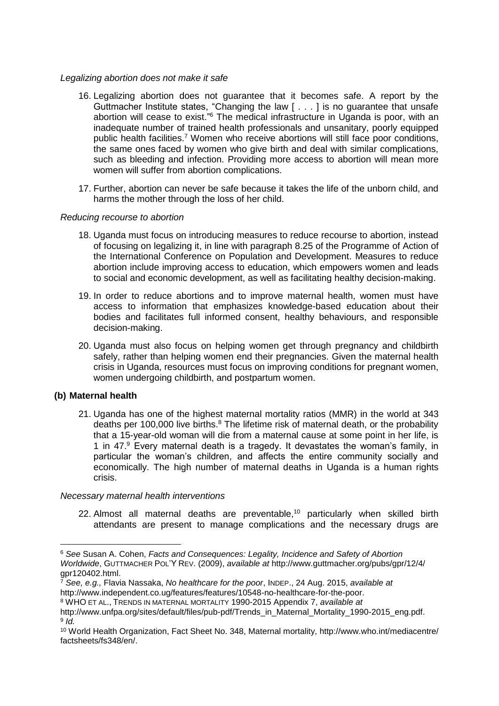#### *Legalizing abortion does not make it safe*

- 16. Legalizing abortion does not guarantee that it becomes safe. A report by the Guttmacher Institute states, "Changing the law [ . . . ] is no guarantee that unsafe abortion will cease to exist."<sup>6</sup> The medical infrastructure in Uganda is poor, with an inadequate number of trained health professionals and unsanitary, poorly equipped public health facilities.<sup>7</sup> Women who receive abortions will still face poor conditions, the same ones faced by women who give birth and deal with similar complications, such as bleeding and infection. Providing more access to abortion will mean more women will suffer from abortion complications.
- 17. Further, abortion can never be safe because it takes the life of the unborn child, and harms the mother through the loss of her child.

#### *Reducing recourse to abortion*

- 18. Uganda must focus on introducing measures to reduce recourse to abortion, instead of focusing on legalizing it, in line with paragraph 8.25 of the Programme of Action of the International Conference on Population and Development. Measures to reduce abortion include improving access to education, which empowers women and leads to social and economic development, as well as facilitating healthy decision-making.
- 19. In order to reduce abortions and to improve maternal health, women must have access to information that emphasizes knowledge-based education about their bodies and facilitates full informed consent, healthy behaviours, and responsible decision-making.
- 20. Uganda must also focus on helping women get through pregnancy and childbirth safely, rather than helping women end their pregnancies. Given the maternal health crisis in Uganda, resources must focus on improving conditions for pregnant women, women undergoing childbirth, and postpartum women.

### **(b) Maternal health**

1

21. Uganda has one of the highest maternal mortality ratios (MMR) in the world at 343 deaths per 100,000 live births.<sup>8</sup> The lifetime risk of maternal death, or the probability that a 15-year-old woman will die from a maternal cause at some point in her life, is 1 in 47.<sup>9</sup> Every maternal death is a tragedy. It devastates the woman's family, in particular the woman's children, and affects the entire community socially and economically. The high number of maternal deaths in Uganda is a human rights crisis.

#### *Necessary maternal health interventions*

22. Almost all maternal deaths are preventable, $10$  particularly when skilled birth attendants are present to manage complications and the necessary drugs are

<sup>6</sup> *See* Susan A. Cohen, *Facts and Consequences: Legality, Incidence and Safety of Abortion Worldwide*, GUTTMACHER POL'Y REV. (2009), *available at* http://www.guttmacher.org/pubs/gpr/12/4/ gpr120402.html.

<sup>7</sup> *See, e.g.,* Flavia Nassaka, *No healthcare for the poor*, INDEP., 24 Aug. 2015, *available at* http://www.independent.co.ug/features/features/10548-no-healthcare-for-the-poor.

<sup>8</sup> WHO ET AL., TRENDS IN MATERNAL MORTALITY 1990-2015 Appendix 7, *available at*

http://www.unfpa.org/sites/default/files/pub-pdf/Trends\_in\_Maternal\_Mortality\_1990-2015\_eng.pdf. 9 *Id.*

<sup>10</sup> World Health Organization, Fact Sheet No. 348, Maternal mortality, http://www.who.int/mediacentre/ factsheets/fs348/en/.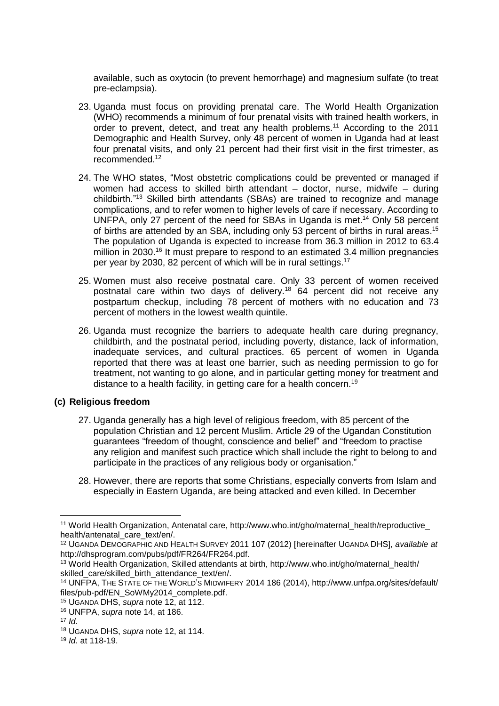available, such as oxytocin (to prevent hemorrhage) and magnesium sulfate (to treat pre-eclampsia).

- 23. Uganda must focus on providing prenatal care. The World Health Organization (WHO) recommends a minimum of four prenatal visits with trained health workers, in order to prevent, detect, and treat any health problems.<sup>11</sup> According to the 2011 Demographic and Health Survey, only 48 percent of women in Uganda had at least four prenatal visits, and only 21 percent had their first visit in the first trimester, as recommended.<sup>12</sup>
- 24. The WHO states, "Most obstetric complications could be prevented or managed if women had access to skilled birth attendant - doctor, nurse, midwife - during childbirth."<sup>13</sup> Skilled birth attendants (SBAs) are trained to recognize and manage complications, and to refer women to higher levels of care if necessary. According to UNFPA, only 27 percent of the need for SBAs in Uganda is met.<sup>14</sup> Only 58 percent of births are attended by an SBA, including only 53 percent of births in rural areas.<sup>15</sup> The population of Uganda is expected to increase from 36.3 million in 2012 to 63.4 million in 2030.<sup>16</sup> It must prepare to respond to an estimated 3.4 million pregnancies per year by 2030, 82 percent of which will be in rural settings.<sup>17</sup>
- 25. Women must also receive postnatal care. Only 33 percent of women received postnatal care within two days of delivery.<sup>18</sup> 64 percent did not receive any postpartum checkup, including 78 percent of mothers with no education and 73 percent of mothers in the lowest wealth quintile.
- 26. Uganda must recognize the barriers to adequate health care during pregnancy, childbirth, and the postnatal period, including poverty, distance, lack of information, inadequate services, and cultural practices. 65 percent of women in Uganda reported that there was at least one barrier, such as needing permission to go for treatment, not wanting to go alone, and in particular getting money for treatment and distance to a health facility, in getting care for a health concern.<sup>19</sup>

## **(c) Religious freedom**

- 27. Uganda generally has a high level of religious freedom, with 85 percent of the population Christian and 12 percent Muslim. Article 29 of the Ugandan Constitution guarantees "freedom of thought, conscience and belief" and "freedom to practise any religion and manifest such practice which shall include the right to belong to and participate in the practices of any religious body or organisation."
- 28. However, there are reports that some Christians, especially converts from Islam and especially in Eastern Uganda, are being attacked and even killed. In December

<sup>1</sup> <sup>11</sup> World Health Organization, Antenatal care, http://www.who.int/gho/maternal\_health/reproductive\_ health/antenatal\_care\_text/en/.

<sup>12</sup> UGANDA DEMOGRAPHIC AND HEALTH SURVEY 2011 107 (2012) [hereinafter UGANDA DHS], *available at* http://dhsprogram.com/pubs/pdf/FR264/FR264.pdf.

<sup>&</sup>lt;sup>13</sup> World Health Organization, Skilled attendants at birth, http://www.who.int/gho/maternal\_health/ skilled care/skilled birth attendance text/en/.

<sup>14</sup> UNFPA, THE STATE OF THE WORLD'S MIDWIFERY 2014 186 (2014), http://www.unfpa.org/sites/default/ files/pub-pdf/EN\_SoWMy2014\_complete.pdf.

<sup>15</sup> UGANDA DHS, *supra* note 12, at 112.

<sup>16</sup> UNFPA, *supra* note 14, at 186.

<sup>17</sup> *Id.*

<sup>18</sup> UGANDA DHS, *supra* note 12, at 114.

<sup>19</sup> *Id.* at 118-19.